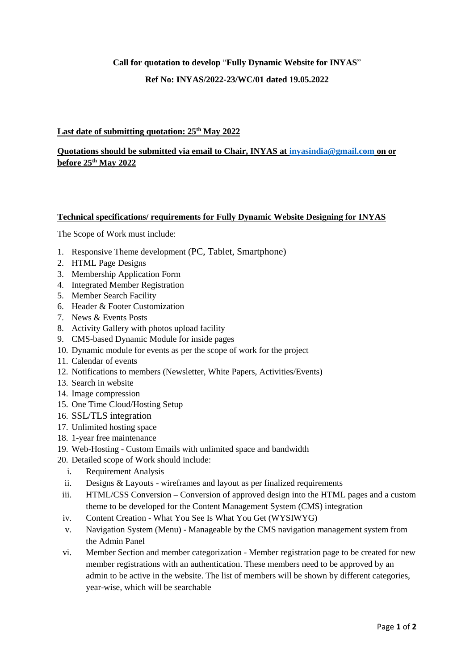## **Call for quotation to develop** "**Fully Dynamic Website for INYAS**"

### **Ref No: INYAS/2022-23/WC/01 dated 19.05.2022**

### **Last date of submitting quotation: 25th May 2022**

# **Quotations should be submitted via email to Chair, INYAS at [inyasindia@gmail.com](mailto:inyasindia@gmail.com) on or before 25th May 2022**

#### **Technical specifications/ requirements for Fully Dynamic Website Designing for INYAS**

The Scope of Work must include:

- 1. Responsive Theme development (PC, Tablet, Smartphone)
- 2. HTML Page Designs
- 3. Membership Application Form
- 4. Integrated Member Registration
- 5. Member Search Facility
- 6. Header & Footer Customization
- 7. News & Events Posts
- 8. Activity Gallery with photos upload facility
- 9. CMS-based Dynamic Module for inside pages
- 10. Dynamic module for events as per the scope of work for the project
- 11. Calendar of events
- 12. Notifications to members (Newsletter, White Papers, Activities/Events)
- 13. Search in website
- 14. Image compression
- 15. One Time Cloud/Hosting Setup
- 16. SSL/TLS integration
- 17. Unlimited hosting space
- 18. 1-year free maintenance
- 19. Web-Hosting Custom Emails with unlimited space and bandwidth
- 20. Detailed scope of Work should include:
	- i. Requirement Analysis
	- ii. Designs & Layouts wireframes and layout as per finalized requirements
	- iii. HTML/CSS Conversion Conversion of approved design into the HTML pages and a custom theme to be developed for the Content Management System (CMS) integration
	- iv. Content Creation What You See Is What You Get (WYSIWYG)
	- v. Navigation System (Menu) Manageable by the CMS navigation management system from the Admin Panel
	- vi. Member Section and member categorization Member registration page to be created for new member registrations with an authentication. These members need to be approved by an admin to be active in the website. The list of members will be shown by different categories, year-wise, which will be searchable